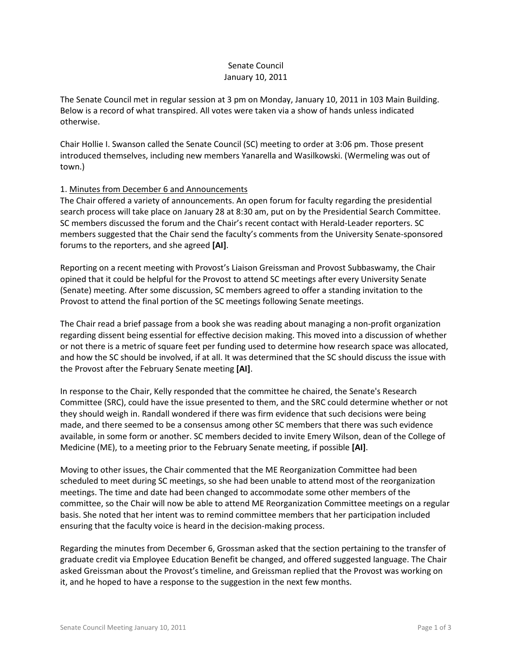# Senate Council January 10, 2011

The Senate Council met in regular session at 3 pm on Monday, January 10, 2011 in 103 Main Building. Below is a record of what transpired. All votes were taken via a show of hands unless indicated otherwise.

Chair Hollie I. Swanson called the Senate Council (SC) meeting to order at 3:06 pm. Those present introduced themselves, including new members Yanarella and Wasilkowski. (Wermeling was out of town.)

# 1. Minutes from December 6 and Announcements

The Chair offered a variety of announcements. An open forum for faculty regarding the presidential search process will take place on January 28 at 8:30 am, put on by the Presidential Search Committee. SC members discussed the forum and the Chair's recent contact with Herald-Leader reporters. SC members suggested that the Chair send the faculty's comments from the University Senate-sponsored forums to the reporters, and she agreed **[AI]**.

Reporting on a recent meeting with Provost's Liaison Greissman and Provost Subbaswamy, the Chair opined that it could be helpful for the Provost to attend SC meetings after every University Senate (Senate) meeting. After some discussion, SC members agreed to offer a standing invitation to the Provost to attend the final portion of the SC meetings following Senate meetings.

The Chair read a brief passage from a book she was reading about managing a non-profit organization regarding dissent being essential for effective decision making. This moved into a discussion of whether or not there is a metric of square feet per funding used to determine how research space was allocated, and how the SC should be involved, if at all. It was determined that the SC should discuss the issue with the Provost after the February Senate meeting **[AI]**.

In response to the Chair, Kelly responded that the committee he chaired, the Senate's Research Committee (SRC), could have the issue presented to them, and the SRC could determine whether or not they should weigh in. Randall wondered if there was firm evidence that such decisions were being made, and there seemed to be a consensus among other SC members that there was such evidence available, in some form or another. SC members decided to invite Emery Wilson, dean of the College of Medicine (ME), to a meeting prior to the February Senate meeting, if possible **[AI]**.

Moving to other issues, the Chair commented that the ME Reorganization Committee had been scheduled to meet during SC meetings, so she had been unable to attend most of the reorganization meetings. The time and date had been changed to accommodate some other members of the committee, so the Chair will now be able to attend ME Reorganization Committee meetings on a regular basis. She noted that her intent was to remind committee members that her participation included ensuring that the faculty voice is heard in the decision-making process.

Regarding the minutes from December 6, Grossman asked that the section pertaining to the transfer of graduate credit via Employee Education Benefit be changed, and offered suggested language. The Chair asked Greissman about the Provost's timeline, and Greissman replied that the Provost was working on it, and he hoped to have a response to the suggestion in the next few months.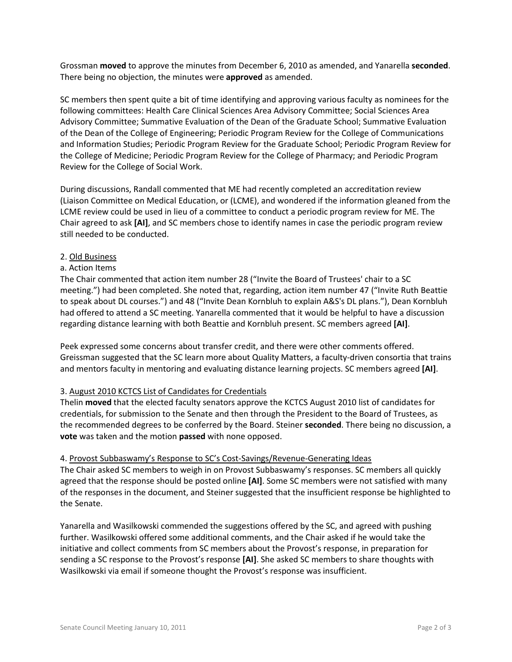Grossman **moved** to approve the minutes from December 6, 2010 as amended, and Yanarella **seconded**. There being no objection, the minutes were **approved** as amended.

SC members then spent quite a bit of time identifying and approving various faculty as nominees for the following committees: Health Care Clinical Sciences Area Advisory Committee; Social Sciences Area Advisory Committee; Summative Evaluation of the Dean of the Graduate School; Summative Evaluation of the Dean of the College of Engineering; Periodic Program Review for the College of Communications and Information Studies; Periodic Program Review for the Graduate School; Periodic Program Review for the College of Medicine; Periodic Program Review for the College of Pharmacy; and Periodic Program Review for the College of Social Work.

During discussions, Randall commented that ME had recently completed an accreditation review (Liaison Committee on Medical Education, or (LCME), and wondered if the information gleaned from the LCME review could be used in lieu of a committee to conduct a periodic program review for ME. The Chair agreed to ask **[AI]**, and SC members chose to identify names in case the periodic program review still needed to be conducted.

## 2. Old Business

## a. Action Items

The Chair commented that action item number 28 ("Invite the Board of Trustees' chair to a SC meeting.") had been completed. She noted that, regarding, action item number 47 ("Invite Ruth Beattie to speak about DL courses.") and 48 ("Invite Dean Kornbluh to explain A&S's DL plans."), Dean Kornbluh had offered to attend a SC meeting. Yanarella commented that it would be helpful to have a discussion regarding distance learning with both Beattie and Kornbluh present. SC members agreed **[AI]**.

Peek expressed some concerns about transfer credit, and there were other comments offered. Greissman suggested that the SC learn more about Quality Matters, a faculty-driven consortia that trains and mentors faculty in mentoring and evaluating distance learning projects. SC members agreed **[AI]**.

# 3. August 2010 KCTCS List of Candidates for Credentials

Thelin **moved** that the elected faculty senators approve the KCTCS August 2010 list of candidates for credentials, for submission to the Senate and then through the President to the Board of Trustees, as the recommended degrees to be conferred by the Board. Steiner **seconded**. There being no discussion, a **vote** was taken and the motion **passed** with none opposed.

#### 4. Provost Subbaswamy's Response to SC's Cost-Savings/Revenue-Generating Ideas

The Chair asked SC members to weigh in on Provost Subbaswamy's responses. SC members all quickly agreed that the response should be posted online **[AI]**. Some SC members were not satisfied with many of the responses in the document, and Steiner suggested that the insufficient response be highlighted to the Senate.

Yanarella and Wasilkowski commended the suggestions offered by the SC, and agreed with pushing further. Wasilkowski offered some additional comments, and the Chair asked if he would take the initiative and collect comments from SC members about the Provost's response, in preparation for sending a SC response to the Provost's response **[AI]**. She asked SC members to share thoughts with Wasilkowski via email if someone thought the Provost's response was insufficient.